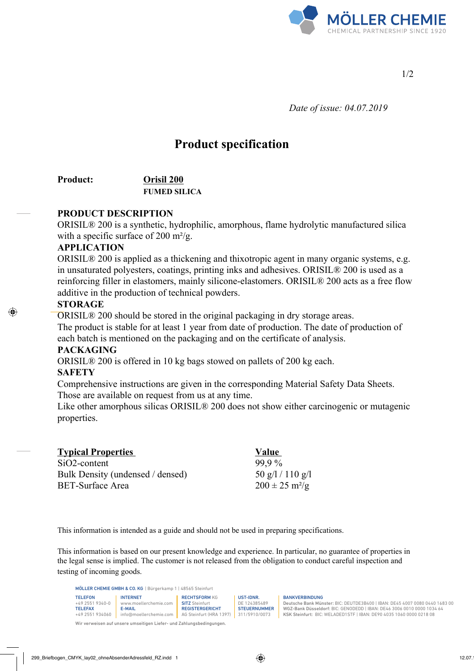

1/2

 *Date of issue: 04.07.2019*

# **Product specification**

## **Product: Orisil 200 FUMED SILICA**

## **PRODUCT DESCRIPTION**

ORISIL® 200 is a synthetic, hydrophilic, amorphous, flame hydrolytic manufactured silica with a specific surface of 200 m<sup>2</sup>/g.

#### **APPLICATION**

ORISIL® 200 is applied as a thickening and thixotropic agent in many organic systems, e.g. in unsaturated polyesters, coatings, printing inks and adhesives. ORISIL® 200 is used as a reinforcing filler in elastomers, mainly silicone-elastomers. ORISIL® 200 acts as a free flow additive in the production of technical powders.

## **STORAGE**

ORISIL® 200 should be stored in the original packaging in dry storage areas. The product is stable for at least 1 year from date of production. The date of production of each batch is mentioned on the packaging and on the certificate of analysis.

## **PACKAGING**

ORISIL® 200 is offered in 10 kg bags stowed on pallets of 200 kg each.

## **SAFETY**

Comprehensive instructions are given in the corresponding Material Safety Data Sheets. Those are available on request from us at any time.

Like other amorphous silicas ORISIL® 200 does not show either carcinogenic or mutagenic properties.

| <b>Typical Properties</b>        | Value                          |
|----------------------------------|--------------------------------|
| $SiO2$ -content                  | 99.9%                          |
| Bulk Density (undensed / densed) | 50 g/l / 110 g/l               |
| <b>BET-Surface Area</b>          | $200 \pm 25$ m <sup>2</sup> /g |

This information is intended as a guide and should not be used in preparing specifications.

This information is based on our present knowledge and experience. In particular, no guarantee of properties in the legal sense is implied. The customer is not released from the obligation to conduct careful inspection and testing of incoming goods.

MÖLLER CHEMIE GMBH & CO. KG | Bürgerkamp 1 | 48565 Steinfurt

| <b>TELEFON</b>    | <b>INTERNET</b>        | <b>RECHTSFORM KG</b>    | UST-IDNR.           |
|-------------------|------------------------|-------------------------|---------------------|
| $+4925519340 - 0$ | www.moellerchemie.com  | <b>SITZ</b> Steinfurt   | DE 124385489        |
| <b>TELEFAX</b>    | <b>E-MAIL</b>          | <b>REGISTERGERICHT</b>  | <b>STEUERNUMMER</b> |
| +49 2551 934060   | info@moellerchemie.com | AG Steinfurt (HRA 1397) | 311/5910/0073       |

Wir verweisen auf unsere umseitigen Liefer- und Zahlungsbedingungen.

BANKVERBINDUNG

Deutsche Bank Münster: BIC: DEUTDE3B400 | IBAN: DE45 4007 0080 0440 1683 00 WGZ-Bank Düsseldorf: BIC: GENODEDD | IBAN: DE46 3006 0010 0000 1034 64 KSK Steinfurt: BIC: WELADED1STF | IBAN: DE90 4035 1060 0000 0218 08